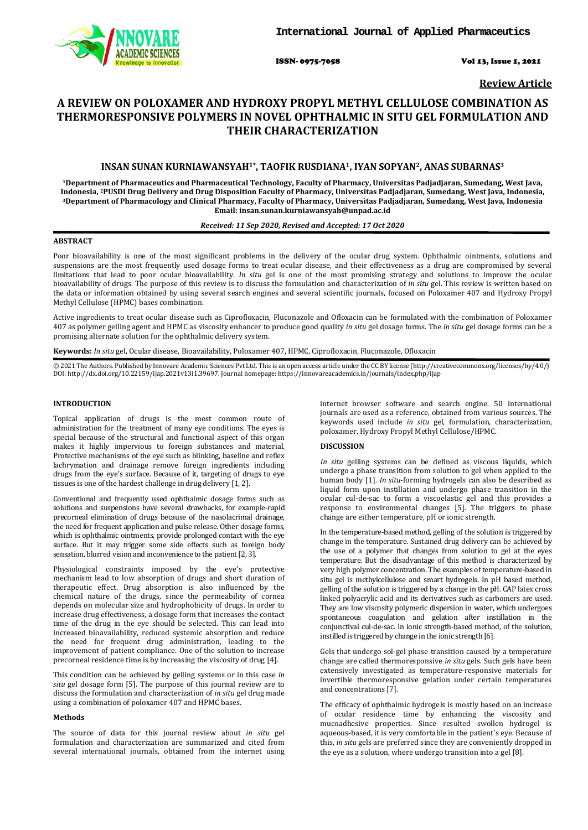

ISSN- 0975-7058 Vol 13, Issue 1, 2021

**Review Article**

# **A REVIEW ON POLOXAMER AND HYDROXY PROPYL METHYL CELLULOSE COMBINATION AS THERMORESPONSIVE POLYMERS IN NOVEL OPHTHALMIC IN SITU GEL FORMULATION AND THEIR CHARACTERIZATION**

# **INSAN SUNAN KURNIAWANSYAH1\*, TAOFIK RUSDIANA1, IYAN SOPYAN2, ANAS SUBARNAS3**

**1Department of Pharmaceutics and Pharmaceutical Technology, Faculty of Pharmacy, Universitas Padjadjaran, Sumedang, West Java, Indonesia, 2PUSDI Drug Delivery and Drug Disposition Faculty of Pharmacy, Universitas Padjadjaran, Sumedang, West Java, Indonesia, 3 Department of Pharmacology and Clinical Pharmacy, Faculty of Pharmacy, Universitas Padjadjaran, Sumedang, West Java, Indonesia [insan.sunan.kurniawansyah@unpad.ac.id](mailto:insan.sunan.kurniawansyah@unpad.ac.id) Email:** 

## *Received: 11 Sep 2020, Revised and Accepted: 17 Oct 2020*

## **ABSTRACT**

Poor bioavailability is one of the most significant problems in the delivery of the ocular drug system. Ophthalmic ointments, solutions and suspensions are the most frequently used dosage forms to treat ocular disease, and their effectiveness as a drug are compromised by several limitations that lead to poor ocular bioavailability. *In situ* gel is one of the most promising strategy and solutions to improve the ocular bioavailability of drugs. The purpose of this review is to discuss the formulation and characterization of *in situ* gel. This review is written based on the data or information obtained by using several search engines and several scientific journals, focused on Poloxamer 407 and Hydroxy Propyl Methyl Cellulose (HPMC) bases combination.

Active ingredients to treat ocular disease such as Ciprofloxacin, Fluconazole and Ofloxacin can be formulated with the combination of Poloxamer 407 as polymer gelling agent and HPMC as viscosity enhancer to produce good quality *in situ* gel dosage forms. The *in situ* gel dosage forms can be a promising alternate solution for the ophthalmic delivery system.

**Keywords:** *In situ* gel, Ocular disease, Bioavailability, Poloxamer 407, HPMC, Ciprofloxacin, Fluconazole, Ofloxacin

© 2021 The Authors. Published by Innovare Academic Sciences Pvt Ltd. This is an open access article under the CC BY license [\(http://creativecommons.org/licenses/by/4.0/\)](http://creativecommons.org/licenses/by/4.0/) DOI: http://dx.doi.org/10.22159/ijap.2021v13i1.39697. Journal homepage[: https://innovareacademics.in/journals/index.php/ijap](https://innovareacademics.in/journals/index.php/ijap)

## **INTRODUCTION**

Topical application of drugs is the most common route of administration for the treatment of many eye conditions. The eyes is special because of the structural and functional aspect of this organ makes it highly impervious to foreign substances and material. Protective mechanisms of the eye such as blinking, baseline and reflex lachrymation and drainage remove foreign ingredients including drugs from the eye's surface. Because of it, targeting of drugs to eye tissues is one of the hardest challenge in drug delivery [1, 2].

Conventional and frequently used ophthalmic dosage forms such as solutions and suspensions have several drawbacks, for example-rapid precorneal elimination of drugs because of the nasolacrimal drainage, the need for frequent application and pulse release. Other dosage forms, which is ophthalmic ointments, provide prolonged contact with the eye surface. But it may trigger some side effects such as foreign body sensation, blurred vision and inconvenience to the patient [2, 3].

Physiological constraints imposed by the eye's protective mechanism lead to low absorption of drugs and short duration of therapeutic effect. Drug absorption is also influenced by the chemical nature of the drugs, since the permeability of cornea depends on molecular size and hydrophobicity of drugs. In order to increase drug effectiveness, a dosage form that increases the contact time of the drug in the eye should be selected. This can lead into increased bioavailability, reduced systemic absorption and reduce the need for frequent drug administration, leading to the improvement of patient compliance. One of the solution to increase precorneal residence time is by increasing the viscosity of drug [4].

This condition can be achieved by gelling systems or in this case *in situ* gel dosage form [5]. The purpose of this journal review are to discuss the formulation and characterization of *in situ* gel drug made using a combination of poloxamer 407 and HPMC bases.

#### **Methods**

The source of data for this journal review about *in situ* gel formulation and characterization are summarized and cited from several international journals, obtained from the internet using

internet browser software and search engine. 50 international journals are used as a reference, obtained from various sources. The keywords used include *in situ* gel, formulation, characterization, poloxamer, Hydroxy Propyl Methyl Cellulose/HPMC.

## **DISCUSSION**

*In situ* gelling systems can be defined as viscous liquids, which undergo a phase transition from solution to gel when applied to the human body [1]. *In situ*-forming hydrogels can also be described as liquid form upon instillation and undergo phase transition in the ocular cul-de-sac to form a viscoelastic gel and this provides a response to environmental changes [5]. The triggers to phase change are either temperature, pH or ionic strength.

In the temperature-based method, gelling of the solution is triggered by change in the temperature. Sustained drug delivery can be achieved by the use of a polymer that changes from solution to gel at the eyes temperature. But the disadvantage of this method is characterized by very high polymer concentration. The examples of temperature-based in situ gel is methylcellulose and smart hydrogels. In pH based method, gelling of the solution is triggered by a change in the pH. CAP latex cross linked polyacrylic acid and its derivatives such as carbomers are used. They are low viscosity polymeric dispersion in water, which undergoes spontaneous coagulation and gelation after instillation in the conjunctival cul-de-sac. In ionic strength-based method, of the solution, instilled is triggered by change in the ionic strength [6].

Gels that undergo sol-gel phase transition caused by a temperature change are called thermoresponsive *in situ* gels. Such gels have been extensively investigated as temperature-responsive materials for invertible thermoresponsive gelation under certain temperatures and concentrations [7].

The efficacy of ophthalmic hydrogels is mostly based on an increase of ocular residence time by enhancing the viscosity and mucoadhesive properties. Since resulted swollen hydrogel is aqueous-based, it is very comfortable in the patient's eye. Because of this, *in situ* gels are preferred since they are conveniently dropped in the eye as a solution, where undergo transition into a gel [8].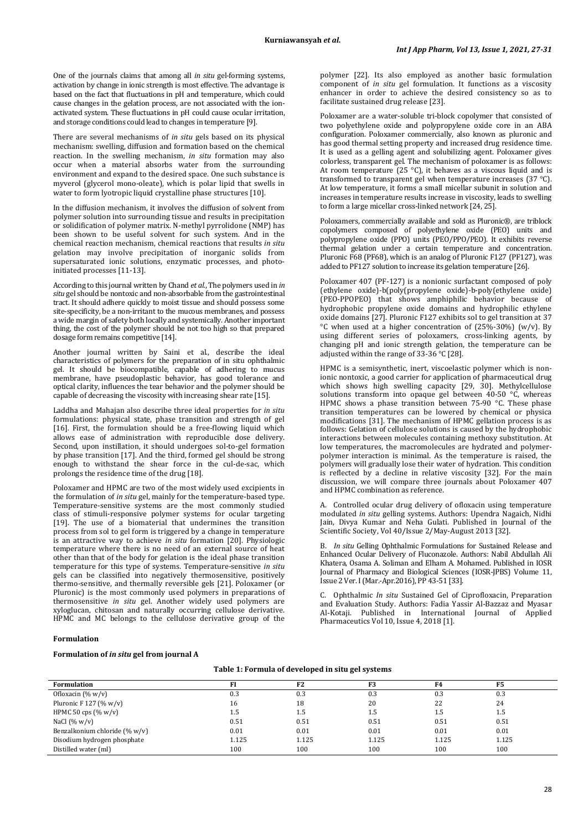One of the journals claims that among all *in situ* gel-forming systems, activation by change in ionic strength is most effective. The advantage is based on the fact that fluctuations in pH and temperature, which could cause changes in the gelation process, are not associated with the ionactivated system. These fluctuations in pH could cause ocular irritation, and storage conditions could lead to changes in temperature [9].

There are several mechanisms of *in situ* gels based on its physical mechanism: swelling, diffusion and formation based on the chemical reaction. In the swelling mechanism, *in situ* formation may also occur when a material absorbs water from the surrounding environment and expand to the desired space. One such substance is myverol (glycerol mono-oleate), which is polar lipid that swells in water to form lyotropic liquid crystalline phase structures [10].

In the diffusion mechanism, it involves the diffusion of solvent from polymer solution into surrounding tissue and results in precipitation or solidification of polymer matrix. N-methyl pyrrolidone (NMP) has been shown to be useful solvent for such system. And in the chemical reaction mechanism, chemical reactions that results *in situ*  gelation may involve precipitation of inorganic solids from supersaturated ionic solutions, enzymatic processes, and photoinitiated processes [11-13].

According to this journal written by Chand *et al.*, The polymers used in *in situ* gel should be nontoxic and non-absorbable from the gastrointestinal tract. It should adhere quickly to moist tissue and should possess some site-specificity, be a non-irritant to the mucous membranes, and possess a wide margin of safety both locally and systemically. Another important thing, the cost of the polymer should be not too high so that prepared dosage form remains competitive [14].

Another journal written by Saini et al., describe the ideal characteristics of polymers for the preparation of in situ ophthalmic gel. It should be biocompatible, capable of adhering to mucus membrane, have pseudoplastic behavior, has good tolerance and optical clarity, influences the tear behavior and the polymer should be capable of decreasing the viscosity with increasing shear rate [15].

Laddha and Mahajan also describe three ideal properties for *in situ*  formulations: physical state, phase transition and strength of gel [16]. First, the formulation should be a free-flowing liquid which allows ease of administration with reproducible dose delivery. Second, upon instillation, it should undergoes sol-to-gel formation by phase transition [17]. And the third, formed gel should be strong enough to withstand the shear force in the cul-de-sac, which prolongs the residence time of the drug [18].

Poloxamer and HPMC are two of the most widely used excipients in the formulation of *in situ* gel, mainly for the temperature-based type. Temperature-sensitive systems are the most commonly studied class of stimuli-responsive polymer systems for ocular targeting [19]. The use of a biomaterial that undermines the transition process from sol to gel form is triggered by a change in temperature is an attractive way to achieve *in situ* formation [20]. Physiologic temperature where there is no need of an external source of heat other than that of the body for gelation is the ideal phase transition temperature for this type of systems. Temperature-sensitive *in situ*  gels can be classified into negatively thermosensitive, positively thermo-sensitive, and thermally reversible gels [21]. Poloxamer (or Pluronic) is the most commonly used polymers in preparations of thermosensitive *in situ* gel. Another widely used polymers are xyloglucan, chitosan and naturally occurring cellulose derivative. HPMC and MC belongs to the cellulose derivative group of the polymer [22]. Its also employed as another basic formulation component of *in situ* gel formulation. It functions as a viscosity enhancer in order to achieve the desired consistency so as to facilitate sustained drug release [23].

Poloxamer are a water-soluble tri-block copolymer that consisted of two polyethylene oxide and polypropylene oxide core in an ABA configuration. Poloxamer commercially, also known as pluronic and has good thermal setting property and increased drug residence time. It is used as a gelling agent and solubilizing agent. Poloxamer gives colorless, transparent gel. The mechanism of poloxamer is as follows: At room temperature (25 °C), it behaves as a viscous liquid and is transformed to transparent gel when temperature increases (37 °C). At low temperature, it forms a small micellar subunit in solution and increases in temperature results increase in viscosity, leads to swelling to form a large micellar cross-linked network [24, 25].

Poloxamers, commercially available and sold as Pluronic®, are triblock copolymers composed of polyethylene oxide (PEO) units and polypropylene oxide (PPO) units (PEO/PPO/PEO). It exhibits reverse thermal gelation under a certain temperature and concentration. Pluronic F68 (PF68), which is an analog of Pluronic F127 (PF127), was added to PF127 solution to increase its gelation temperature [26].

Poloxamer 407 (PF-127) is a nonionic surfactant composed of poly (ethylene oxide)-b(poly(propylene oxide)-b-poly(ethylene oxide) (PEO-PPOPEO) that shows amphiphilic behavior because of hydrophobic propylene oxide domains and hydrophilic ethylene oxide domains [27]. Pluronic F127 exhibits sol to gel transition at 37  $°C$  when used at a higher concentration of (25%-30%) (w/v). By using different series of poloxamers, cross-linking agents, by changing pH and ionic strength gelation, the temperature can be adjusted within the range of 33-36 °C [28].

HPMC is a semisynthetic, inert, viscoelastic polymer which is nonionic nontoxic, a good carrier for application of pharmaceutical drug which shows high swelling capacity [29, 30]. Methylcellulose solutions transform into opaque gel between  $40-50$  °C, whereas HPMC shows a phase transition between 75-90 °C. These phase transition temperatures can be lowered by chemical or physica modifications [31]. The mechanism of HPMC gellation process is as follows: Gelation of cellulose solutions is caused by the hydrophobic interactions between molecules containing methoxy substitution. At low temperatures, the macromolecules are hydrated and polymerpolymer interaction is minimal. As the temperature is raised, the polymers will gradually lose their water of hydration. This condition is reflected by a decline in relative viscosity [32]. For the main discussion, we will compare three journals about Poloxamer 407 and HPMC combination as reference.

A. Controlled ocular drug delivery of ofloxacin using temperature modulated *in situ* gelling systems. Authors: Upendra Nagaich, Nidhi Jain, Divya Kumar and Neha Gulati. Published in Journal of the Scientific Society, Vol 40/Issue 2/May-August 2013 [32].

B. *In situ* Gelling Ophthalmic Formulations for Sustained Release and Enhanced Ocular Delivery of Fluconazole. Authors: Nabil Abdullah Ali Khatera, Osama A. Soliman and Elham A. Mohamed. Published in IOSR Journal of Pharmacy and Biological Sciences (IOSR-JPBS) Volume 11, Issue 2 Ver. I(Mar.-Apr.2016), PP 43-51 [33].

C. Ophthalmic *In situ* Sustained Gel of Ciprofloxacin, Preparation and Evaluation Study. Authors: Fadia Yassir Al-Bazzaz and Myasar Al-Kotaji. Published in International Journal of Applied Pharmaceutics Vol 10, Issue 4, 2018 [1].

#### **Formulation**

#### **Formulation of** *in situ* **gel from journal A**

#### **Table 1: Formula of developed in situ gel systems**

| <b>Formulation</b>            |       | F <sub>2</sub> | F3    | F4    | F5    |
|-------------------------------|-------|----------------|-------|-------|-------|
| Ofloxacin $(\% w/v)$          | 0.3   | 0.3            | 0.3   | 0.3   | 0.3   |
| Pluronic F 127 (% $w/v$ )     | 16    | 18             | 20    | 22    | 24    |
| HPMC 50 cps $(\% w/v)$        | 1.5   | 1.5            | 1.5   | 1.5   | 1.5   |
| NaCl $(\% w/v)$               | 0.51  | 0.51           | 0.51  | 0.51  | 0.51  |
| Benzalkonium chloride (% w/v) | 0.01  | 0.01           | 0.01  | 0.01  | 0.01  |
| Disodium hydrogen phosphate   | 1.125 | 1.125          | 1.125 | 1.125 | 1.125 |
| Distilled water (ml)          | 100   | 100            | 100   | 100   | 100   |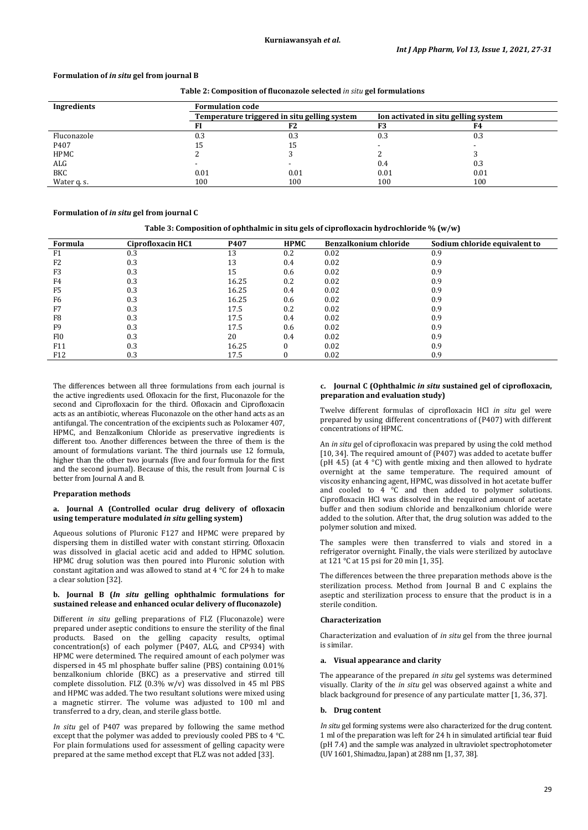## **Formulation of** *in situ* **gel from journal B**

## **Table 2: Composition of fluconazole selected** *in situ* **gel formulations**

| Ingredients | <b>Formulation code</b>                      |      |                                      |      |  |  |
|-------------|----------------------------------------------|------|--------------------------------------|------|--|--|
|             | Temperature triggered in situ gelling system |      | Ion activated in situ gelling system |      |  |  |
|             |                                              | F2   | F3                                   | F4   |  |  |
| Fluconazole | 0.3                                          | 0.3  | 0.3                                  | 0.3  |  |  |
| P407        | 15                                           | 15   |                                      |      |  |  |
| HPMC        |                                              |      |                                      |      |  |  |
| ALG         |                                              |      | 0.4                                  | 0.3  |  |  |
| BKC         | 0.01                                         | 0.01 | 0.01                                 | 0.01 |  |  |
| Water q. s. | 100                                          | 100  | 100                                  | 100  |  |  |

#### **Formulation of** *in situ* **gel from journal C**

#### **Table 3: Composition of ophthalmic in situ gels of ciprofloxacin hydrochloride % (w/w)**

| Formula         | Ciprofloxacin HC1 | P407  | <b>HPMC</b> | Benzalkonium chloride | Sodium chloride equivalent to |
|-----------------|-------------------|-------|-------------|-----------------------|-------------------------------|
| F <sub>1</sub>  | 0.3               | 13    | 0.2         | 0.02                  | 0.9                           |
| F <sub>2</sub>  | 0.3               | 13    | 0.4         | 0.02                  | 0.9                           |
| F3              | 0.3               | 15    | 0.6         | 0.02                  | 0.9                           |
| F4              | 0.3               | 16.25 | 0.2         | 0.02                  | 0.9                           |
| F <sub>5</sub>  | 0.3               | 16.25 | 0.4         | 0.02                  | 0.9                           |
| F <sub>6</sub>  | 0.3               | 16.25 | 0.6         | 0.02                  | 0.9                           |
| F7              | 0.3               | 17.5  | 0.2         | 0.02                  | 0.9                           |
| F8              | 0.3               | 17.5  | 0.4         | 0.02                  | 0.9                           |
| F <sub>9</sub>  | 0.3               | 17.5  | 0.6         | 0.02                  | 0.9                           |
| F <sub>10</sub> | 0.3               | 20    | 0.4         | 0.02                  | 0.9                           |
| F11             | 0.3               | 16.25 | 0           | 0.02                  | 0.9                           |
| F <sub>12</sub> | 0.3               | 17.5  |             | 0.02                  | 0.9                           |

The differences between all three formulations from each journal is the active ingredients used. Ofloxacin for the first, Fluconazole for the second and Ciprofloxacin for the third. Ofloxacin and Ciprofloxacin acts as an antibiotic, whereas Fluconazole on the other hand acts as an antifungal. The concentration of the excipients such as Poloxamer 407, HPMC, and Benzalkonium Chloride as preservative ingredients is different too. Another differences between the three of them is the amount of formulations variant. The third journals use 12 formula, higher than the other two journals (five and four formula for the first and the second journal). Because of this, the result from Journal C is better from Journal A and B.

#### **Preparation methods**

#### **a. Journal A (Controlled ocular drug delivery of ofloxacin using temperature modulated** *in situ* **gelling system)**

Aqueous solutions of Pluronic F127 and HPMC were prepared by dispersing them in distilled water with constant stirring. Ofloxacin was dissolved in glacial acetic acid and added to HPMC solution. HPMC drug solution was then poured into Pluronic solution with constant agitation and was allowed to stand at 4 °C for 24 h to make a clear solution [32].

#### **b. Journal B (***In situ* **gelling ophthalmic formulations for sustained release and enhanced ocular delivery of fluconazole)**

Different *in situ* gelling preparations of FLZ (Fluconazole) were prepared under aseptic conditions to ensure the sterility of the final products. Based on the gelling capacity results, optimal concentration(s) of each polymer (P407, ALG, and CP934) with HPMC were determined. The required amount of each polymer was dispersed in 45 ml phosphate buffer saline (PBS) containing 0.01% benzalkonium chloride (BKC) as a preservative and stirred till complete dissolution. FLZ  $(0.3\% \text{ w/v})$  was dissolved in 45 ml PBS and HPMC was added. The two resultant solutions were mixed using a magnetic stirrer. The volume was adjusted to 100 ml and transferred to a dry, clean, and sterile glass bottle.

*In situ* gel of P407 was prepared by following the same method except that the polymer was added to previously cooled PBS to 4 °C. For plain formulations used for assessment of gelling capacity were prepared at the same method except that FLZ was not added [33].

## **c. Journal C (Ophthalmic** *in situ* **sustained gel of ciprofloxacin, preparation and evaluation study)**

Twelve different formulas of ciprofloxacin HCl *in situ* gel were prepared by using different concentrations of (P407) with different concentrations of HPMC.

An *in situ* gel of ciprofloxacin was prepared by using the cold method [10, 34]. The required amount of (P407) was added to acetate buffer (pH 4.5) (at 4 °C) with gentle mixing and then allowed to hydrate overnight at the same temperature. The required amount of viscosity enhancing agent, HPMC, was dissolved in hot acetate buffer and cooled to 4 °C and then added to polymer solutions. Ciprofloxacin HCl was dissolved in the required amount of acetate buffer and then sodium chloride and benzalkonium chloride were added to the solution. After that, the drug solution was added to the polymer solution and mixed.

The samples were then transferred to vials and stored in a refrigerator overnight. Finally, the vials were sterilized by autoclave at 121 °C at 15 psi for 20 min [1, 35].

The differences between the three preparation methods above is the sterilization process. Method from Journal B and C explains the aseptic and sterilization process to ensure that the product is in a sterile condition.

## **Characterization**

Characterization and evaluation of *in situ* gel from the three journal is similar.

#### **a. Visual appearance and clarity**

The appearance of the prepared *in situ* gel systems was determined visually. Clarity of the *in situ* gel was observed against a white and black background for presence of any particulate matter [1, 36, 37].

#### **b. Drug content**

*In situ* gel forming systems were also characterized for the drug content. 1 ml of the preparation was left for 24 h in simulated artificial tear fluid (pH 7.4) and the sample was analyzed in ultraviolet spectrophotometer (UV 1601, Shimadzu, Japan) at 288 nm [1, 37, 38].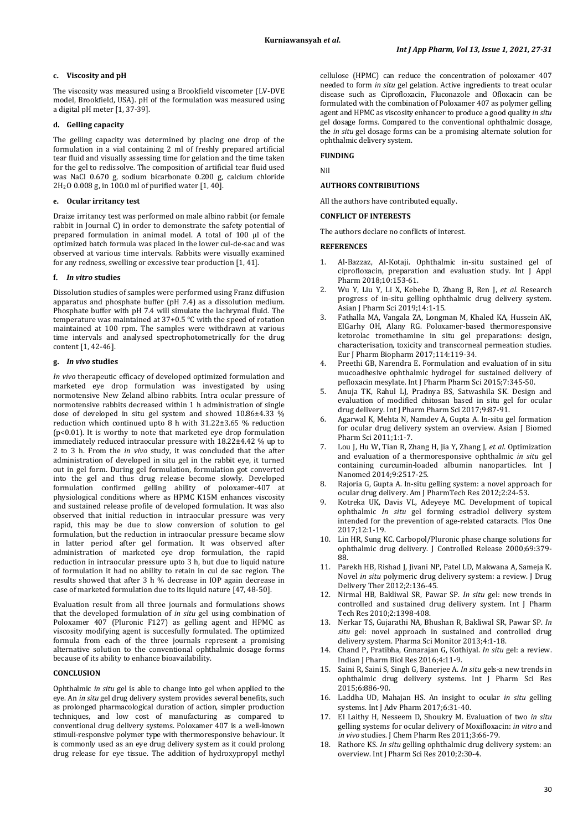## **c. Viscosity and pH**

The viscosity was measured using a Brookfield viscometer (LV-DVE model, Brookfield, USA). pH of the formulation was measured using a digital pH meter [1, 37-39].

# **d. Gelling capacity**

The gelling capacity was determined by placing one drop of the formulation in a vial containing 2 ml of freshly prepared artificial tear fluid and visually assessing time for gelation and the time taken for the gel to redissolve. The composition of artificial tear fluid used was NaCl 0.670 g, sodium bicarbonate 0.200 g, calcium chloride 2H2 O 0.008 g, in 100.0 ml of purified water [1, 40].

#### **e. Ocular irritancy test**

Draize irritancy test was performed on male albino rabbit (or female rabbit in Journal C) in order to demonstrate the safety potential of prepared formulation in animal model. A total of 100 µl of the optimized batch formula was placed in the lower cul-de-sac and was observed at various time intervals. Rabbits were visually examined for any redness, swelling or excessive tear production [1, 41].

#### **f.** *In vitro* **studies**

Dissolution studies of samples were performed using Franz diffusion apparatus and phosphate buffer (pH 7.4) as a dissolution medium. Phosphate buffer with pH 7.4 will simulate the lachrymal fluid. The temperature was maintained at 37+0.5 °C with the speed of rotation maintained at 100 rpm. The samples were withdrawn at various time intervals and analysed spectrophotometrically for the drug content [1, 42-46].

#### **g.** *In vivo* **studies**

*In vivo* therapeutic efficacy of developed optimized formulation and marketed eye drop formulation was investigated by using normotensive New Zeland albino rabbits. Intra ocular pressure of normotensive rabbits decreased within 1 h administration of single dose of developed in situ gel system and showed 10.86±4.33 % reduction which continued upto 8 h with 31.22±3.65 % reduction (p<0.01). It is worthy to note that marketed eye drop formulation immediately reduced intraocular pressure with 18.22±4.42 % up to 2 to 3 h. From the *in vivo* study, it was concluded that the after administration of developed in situ gel in the rabbit eye, it turned out in gel form. During gel formulation, formulation got converted into the gel and thus drug release become slowly. Developed formulation confirmed gelling ability of poloxamer-407 at physiological conditions where as HPMC K15M enhances viscosity and sustained release profile of developed formulation. It was also observed that initial reduction in intraocular pressure was very rapid, this may be due to slow conversion of solution to gel formulation, but the reduction in intraocular pressure became slow in latter period after gel formation. It was observed after administration of marketed eye drop formulation, the rapid reduction in intraocular pressure upto 3 h, but due to liquid nature of formulation it had no ability to retain in cul de sac region. The results showed that after 3 h % decrease in IOP again decrease in case of marketed formulation due to its liquid nature [47, 48-50].

Evaluation result from all three journals and formulations shows that the developed formulation of *in situ* gel using combination of Poloxamer 407 (Pluronic F127) as gelling agent and HPMC as viscosity modifying agent is succesfully formulated. The optimized formula from each of the three journals represent a promising alternative solution to the conventional ophthalmic dosage forms because of its ability to enhance bioavailability.

# **CONCLUSION**

Ophthalmic *in situ* gel is able to change into gel when applied to the eye. An *in situ* gel drug delivery system provides several benefits, such as prolonged pharmacological duration of action, simpler production techniques, and low cost of manufacturing as compared to conventional drug delivery systems. Poloxamer 407 is a well-known stimuli-responsive polymer type with thermoresponsive behaviour. It is commonly used as an eye drug delivery system as it could prolong drug release for eye tissue. The addition of hydroxypropyl methyl

cellulose (HPMC) can reduce the concentration of poloxamer 407 needed to form *in situ* gel gelation. Active ingredients to treat ocular disease such as Ciprofloxacin, Fluconazole and Ofloxacin can be formulated with the combination of Poloxamer 407 as polymer gelling agent and HPMC as viscosity enhancer to produce a good quality *in situ*  gel dosage forms. Compared to the conventional ophthalmic dosage, the *in situ* gel dosage forms can be a promising alternate solution for ophthalmic delivery system.

# **FUNDING**

Nil

#### **AUTHORS CONTRIBUTIONS**

All the authors have contributed equally.

## **CONFLICT OF INTERESTS**

The authors declare no conflicts of interest.

#### **REFERENCES**

- 1. Al-Bazzaz, Al-Kotaji. Ophthalmic in-situ sustained gel of ciprofloxacin, preparation and evaluation study. Int J Appl Pharm 2018;10:153-61.
- 2. Wu Y, Liu Y, Li X, Kebebe D, Zhang B, Ren J, *et al.* Research progress of in-situ gelling ophthalmic drug delivery system. Asian J Pharm Sci 2019;14:1-15.
- 3. Fathalla MA, Vangala ZA, Longman M, Khaled KA, Hussein AK, ElGarhy OH, Alany RG. Poloxamer-based thermoresponsive ketorolac tromethamine in situ gel preparations: design, characterisation, toxicity and transcorneal permeation studies. Eur J Pharm Biopharm 2017;114:119-34.
- 4. Preethi GB, Narendra E. Formulation and evaluation of in situ mucoadhesive ophthalmic hydrogel for sustained delivery of pefloxacin mesylate. Int J Pharm Pharm Sci 2015;7:345-50.
- 5. Anuja TK, Rahul LJ, Pradnya BS, Satwashila SK. Design and evaluation of modified chitosan based in situ gel for ocular drug delivery. Int J Pharm Pharm Sci 2017;9:87-91.
- 6. Agarwal K, Mehta N, Namdev A, Gupta A. In-situ gel formation for ocular drug delivery system an overview. Asian J Biomed Pharm Sci 2011;1:1-7.
- 7. Lou J, Hu W, Tian R, Zhang H, Jia Y, Zhang J, *et al*. Optimization and evaluation of a thermoresponsive ophthalmic *in situ* gel containing curcumin-loaded albumin nanoparticles. Int J Nanomed 2014;9:2517-25.
- 8. Rajoria G, Gupta A. In-situ gelling system: a novel approach for ocular drug delivery. Am J PharmTech Res 2012;2:24-53.
- 9. Kotreka UK, Davis VL, Adeyeye MC. Development of topical ophthalmic *In situ* gel forming estradiol delivery system intended for the prevention of age-related cataracts. Plos One 2017;12:1-19.
- 10. Lin HR, Sung KC. Carbopol/Pluronic phase change solutions for ophthalmic drug delivery. J Controlled Release 2000;69:379- 88.
- 11. Parekh HB, Rishad J, Jivani NP, Patel LD, Makwana A, Sameja K. Novel *in situ* polymeric drug delivery system: a review. J Drug Delivery Ther 2012;2:136-45.
- 12. Nirmal HB, Bakliwal SR, Pawar SP. *In situ* gel: new trends in controlled and sustained drug delivery system. Int J Pharm Tech Res 2010;2:1398-408.
- 13. Nerkar TS, Gujarathi NA, Bhushan R, Bakliwal SR, Pawar SP. *In situ* gel: novel approach in sustained and controlled drug delivery system. Pharma Sci Monitor 2013;4:1-18.
- 14. Chand P, Pratibha, Gnnarajan G, Kothiyal. *In situ* gel: a review. Indian J Pharm Biol Res 2016;4:11-9.
- 15. Saini R, Saini S, Singh G, Banerjee A. *In situ* gels-a new trends in ophthalmic drug delivery systems. Int J Pharm Sci Res 2015;6:886-90.
- 16. Laddha UD, Mahajan HS. An insight to ocular *in situ* gelling systems. Int J Adv Pharm 2017;6:31-40.
- 17. El Laithy H, Nesseem D, Shoukry M. Evaluation of two *in situ*  gelling systems for ocular delivery of Moxifloxacin: *in vitro* and *in vivo* studies. J Chem Pharm Res 2011;3:66-79.
- 18. Rathore KS. *In situ* gelling ophthalmic drug delivery system: an overview. Int J Pharm Sci Res 2010;2:30-4.